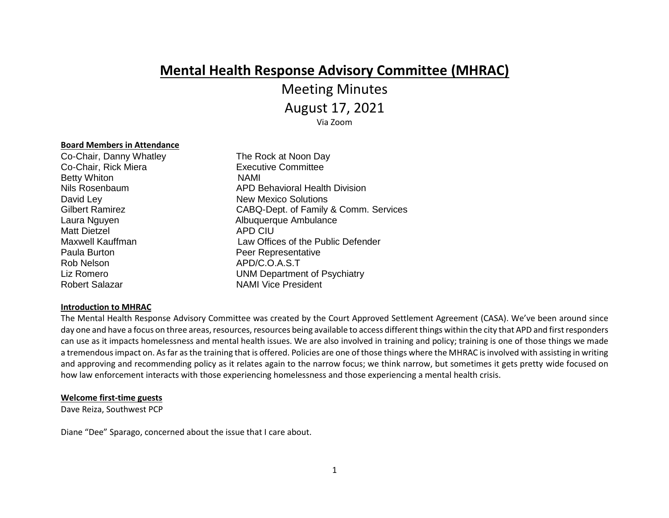# **Mental Health Response Advisory Committee (MHRAC)**

# Meeting Minutes

August 17, 2021

Via Zoom

#### **Board Members in Attendance**

Co-Chair, Danny Whatley The Rock at Noon Day Co-Chair, Rick Miera **Executive Committee** Betty Whiton NAMI David Ley New Mexico Solutions Laura Nguyen **Albuquerque Ambulance** Matt Dietzel **APD CIU** Paula Burton **Peer Representative** Rob Nelson APD/C.O.A.S.T Robert Salazar NAMI Vice President

# Nils Rosenbaum APD Behavioral Health Division Gilbert Ramirez CABQ-Dept. of Family & Comm. Services Maxwell Kauffman Law Offices of the Public Defender Liz Romero **Liz Romero** UNM Department of Psychiatry

#### **Introduction to MHRAC**

The Mental Health Response Advisory Committee was created by the Court Approved Settlement Agreement (CASA). We've been around since day one and have a focus on three areas, resources, resources being available to access different things within the city that APD and first responders can use as it impacts homelessness and mental health issues. We are also involved in training and policy; training is one of those things we made a tremendous impact on. As far as the training that is offered. Policies are one of those things where the MHRAC is involved with assisting in writing and approving and recommending policy as it relates again to the narrow focus; we think narrow, but sometimes it gets pretty wide focused on how law enforcement interacts with those experiencing homelessness and those experiencing a mental health crisis.

#### **Welcome first-time guests**

Dave Reiza, Southwest PCP

Diane "Dee" Sparago, concerned about the issue that I care about.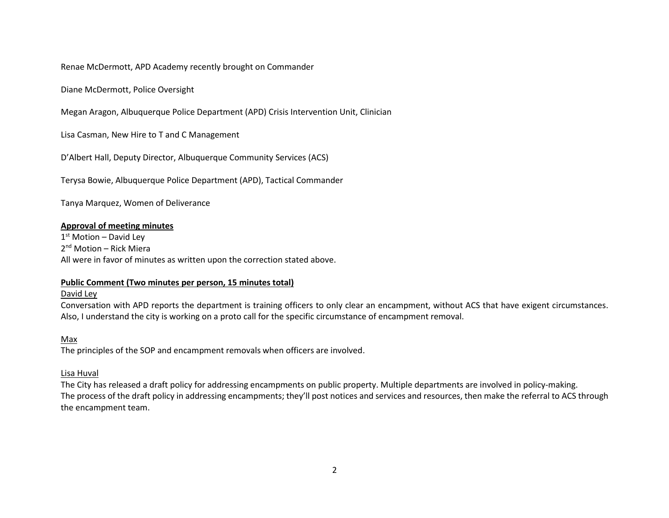Renae McDermott, APD Academy recently brought on Commander

Diane McDermott, Police Oversight

Megan Aragon, Albuquerque Police Department (APD) Crisis Intervention Unit, Clinician

Lisa Casman, New Hire to T and C Management

D'Albert Hall, Deputy Director, Albuquerque Community Services (ACS)

Terysa Bowie, Albuquerque Police Department (APD), Tactical Commander

Tanya Marquez, Women of Deliverance

#### **Approval of meeting minutes**

1<sup>st</sup> Motion – David Ley 2<sup>nd</sup> Motion – Rick Miera All were in favor of minutes as written upon the correction stated above.

#### **Public Comment (Two minutes per person, 15 minutes total)**

#### David Ley

Conversation with APD reports the department is training officers to only clear an encampment, without ACS that have exigent circumstances. Also, I understand the city is working on a proto call for the specific circumstance of encampment removal.

#### Max

The principles of the SOP and encampment removals when officers are involved.

#### Lisa Huval

The City has released a draft policy for addressing encampments on public property. Multiple departments are involved in policy-making. The process of the draft policy in addressing encampments; they'll post notices and services and resources, then make the referral to ACS through the encampment team.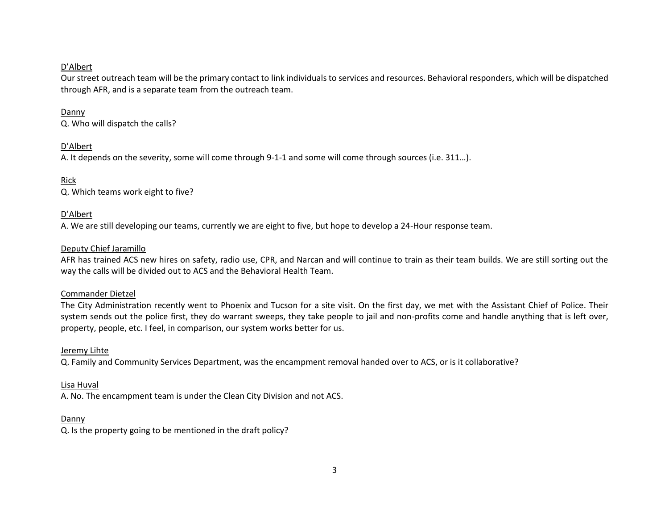# D'Albert

Our street outreach team will be the primary contact to link individuals to services and resources. Behavioral responders, which will be dispatched through AFR, and is a separate team from the outreach team.

# Danny

Q. Who will dispatch the calls?

# D'Albert

A. It depends on the severity, some will come through 9-1-1 and some will come through sources (i.e. 311…).

Rick Q. Which teams work eight to five?

# D'Albert

A. We are still developing our teams, currently we are eight to five, but hope to develop a 24-Hour response team.

# Deputy Chief Jaramillo

AFR has trained ACS new hires on safety, radio use, CPR, and Narcan and will continue to train as their team builds. We are still sorting out the way the calls will be divided out to ACS and the Behavioral Health Team.

#### Commander Dietzel

The City Administration recently went to Phoenix and Tucson for a site visit. On the first day, we met with the Assistant Chief of Police. Their system sends out the police first, they do warrant sweeps, they take people to jail and non-profits come and handle anything that is left over, property, people, etc. I feel, in comparison, our system works better for us.

#### Jeremy Lihte

Q. Family and Community Services Department, was the encampment removal handed over to ACS, or is it collaborative?

# Lisa Huval

A. No. The encampment team is under the Clean City Division and not ACS.

#### Danny

Q. Is the property going to be mentioned in the draft policy?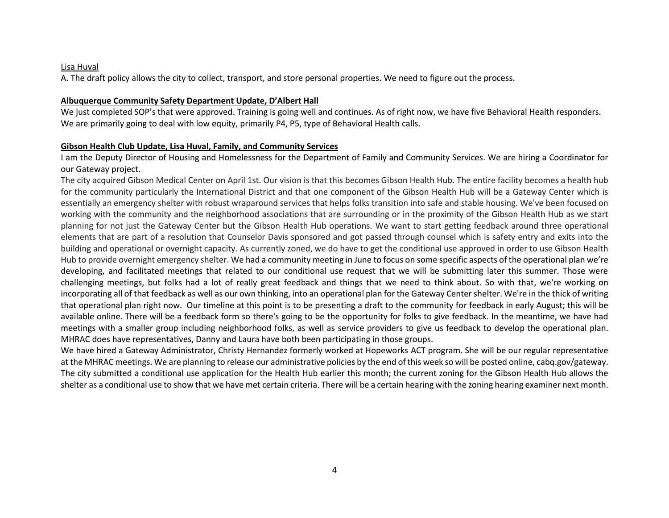#### Lisa Huval

A. The draft policy allows the city to collect, transport, and store personal properties. We need to figure out the process.

#### **Albuquerque Community Safety Department Update, D'Albert Hall**

We just completed SOP's that were approved. Training is going well and continues. As of right now, we have five Behavioral Health responders. We are primarily going to deal with low equity, primarily P4, P5, type of Behavioral Health calls.

# **Gibson Health Club Update, Lisa Huval, Family, and Community Services**

I am the Deputy Director of Housing and Homelessness for the Department of Family and Community Services. We are hiring a Coordinator for our Gateway project.

The city acquired Gibson Medical Center on April 1st. Our vision is that this becomes Gibson Health Hub. The entire facility becomes a health hub for the community particularly the International District and that one component of the Gibson Health Hub will be a Gateway Center which is essentially an emergency shelter with robust wraparound services that helps folks transition into safe and stable housing. We've been focused on working with the community and the neighborhood associations that are surrounding or in the proximity of the Gibson Health Hub as we start planning for not just the Gateway Center but the Gibson Health Hub operations. We want to start getting feedback around three operational elements that are part of a resolution that Counselor Davis sponsored and got passed through counsel which is safety entry and exits into the building and operational or overnight capacity. As currently zoned, we do have to get the conditional use approved in order to use Gibson Health Hub to provide overnight emergency shelter. We had a community meeting in June to focus on some specific aspects of the operational plan we're developing, and facilitated meetings that related to our conditional use request that we will be submitting later this summer. Those were challenging meetings, but folks had a lot of really great feedback and things that we need to think about. So with that, we're working on incorporating all of that feedback as well as our own thinking, into an operational plan for the Gateway Center shelter. We're in the thick of writing that operational plan right now. Our timeline at this point is to be presenting a draft to the community for feedback in early August; this will be available online. There will be a feedback form so there's going to be the opportunity for folks to give feedback. In the meantime, we have had meetings with a smaller group including neighborhood folks, as well as service providers to give us feedback to develop the operational plan. MHRAC does have representatives, Danny and Laura have both been participating in those groups.

We have hired a Gateway Administrator, Christy Hernandez formerly worked at Hopeworks ACT program. She will be our regular representative at the MHRAC meetings. We are planning to release our administrative policies by the end of this week so will be posted online, cabq.gov/gateway. The city submitted a conditional use application for the Health Hub earlier this month; the current zoning for the Gibson Health Hub allows the shelter as a conditional use to show that we have met certain criteria. There will be a certain hearing with the zoning hearing examiner next month.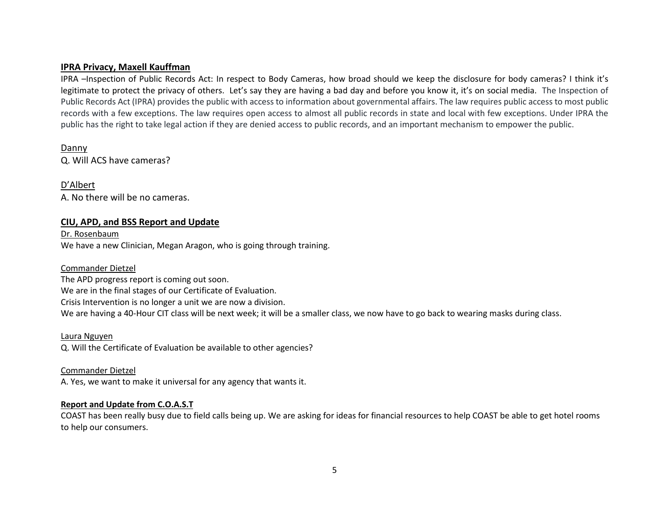# **IPRA Privacy, Maxell Kauffman**

IPRA –Inspection of Public Records Act: In respect to Body Cameras, how broad should we keep the disclosure for body cameras? I think it's legitimate to protect the privacy of others. Let's say they are having a bad day and before you know it, it's on social media. The Inspection of Public Records Act (IPRA) provides the public with access to information about governmental affairs. The law requires public access to most public records with a few exceptions. The law requires open access to almost all public records in state and local with few exceptions. Under IPRA the public has the right to take legal action if they are denied access to public records, and an important mechanism to empower the public.

Danny Q. Will ACS have cameras?

D'Albert A. No there will be no cameras.

# **CIU, APD, and BSS Report and Update**

Dr. Rosenbaum We have a new Clinician, Megan Aragon, who is going through training.

#### Commander Dietzel

The APD progress report is coming out soon.

We are in the final stages of our Certificate of Evaluation.

Crisis Intervention is no longer a unit we are now a division.

We are having a 40-Hour CIT class will be next week; it will be a smaller class, we now have to go back to wearing masks during class.

Laura Nguyen

Q. Will the Certificate of Evaluation be available to other agencies?

Commander Dietzel

A. Yes, we want to make it universal for any agency that wants it.

#### **Report and Update from C.O.A.S.T**

COAST has been really busy due to field calls being up. We are asking for ideas for financial resources to help COAST be able to get hotel rooms to help our consumers.